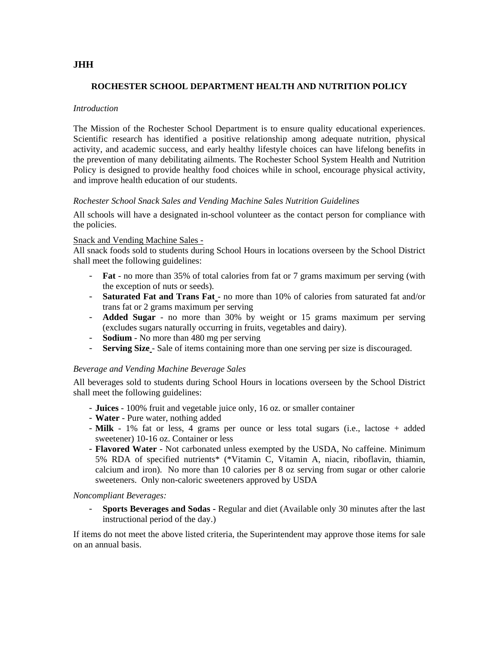# **JHH**

# **ROCHESTER SCHOOL DEPARTMENT HEALTH AND NUTRITION POLICY**

### *Introduction*

 activity, and academic success, and early healthy lifestyle choices can have lifelong benefits in The Mission of the Rochester School Department is to ensure quality educational experiences. Scientific research has identified a positive relationship among adequate nutrition, physical the prevention of many debilitating ailments. The Rochester School System Health and Nutrition Policy is designed to provide healthy food choices while in school, encourage physical activity, and improve health education of our students.

### *Rochester School Snack Sales and Vending Machine Sales Nutrition Guidelines*

All schools will have a designated in-school volunteer as the contact person for compliance with the policies.

### Snack and Vending Machine Sales -

All snack foods sold to students during School Hours in locations overseen by the School District shall meet the following guidelines:

- **Fat**  no more than 35% of total calories from fat or 7 grams maximum per serving (with the exception of nuts or seeds).
- **Saturated Fat and Trans Fat**  no more than 10% of calories from saturated fat and/or trans fat or 2 grams maximum per serving
- **Added Sugar**  no more than 30% by weight or 15 grams maximum per serving (excludes sugars naturally occurring in fruits, vegetables and dairy).
- **Sodium** No more than 480 mg per serving
- **Serving Size**  Sale of items containing more than one serving per size is discouraged.

### *Beverage and Vending Machine Beverage Sales*

All beverages sold to students during School Hours in locations overseen by the School District shall meet the following guidelines:

- **Juices** 100% fruit and vegetable juice only, 16 oz. or smaller container
- **Water** Pure water, nothing added
- **Milk** 1% fat or less, 4 grams per ounce or less total sugars (i.e., lactose + added sweetener) 10-16 oz. Container or less
- **Flavored Water**  Not carbonated unless exempted by the USDA, No caffeine. Minimum 5% RDA of specified nutrients\* (\*Vitamin C, Vitamin A, niacin, riboflavin, thiamin, calcium and iron). No more than 10 calories per 8 oz serving from sugar or other calorie sweeteners. Only non-caloric sweeteners approved by USDA

#### *Noncompliant Beverages:*

- **Sports Beverages and Sodas -** Regular and diet (Available only 30 minutes after the last instructional period of the day.)

If items do not meet the above listed criteria, the Superintendent may approve those items for sale on an annual basis.